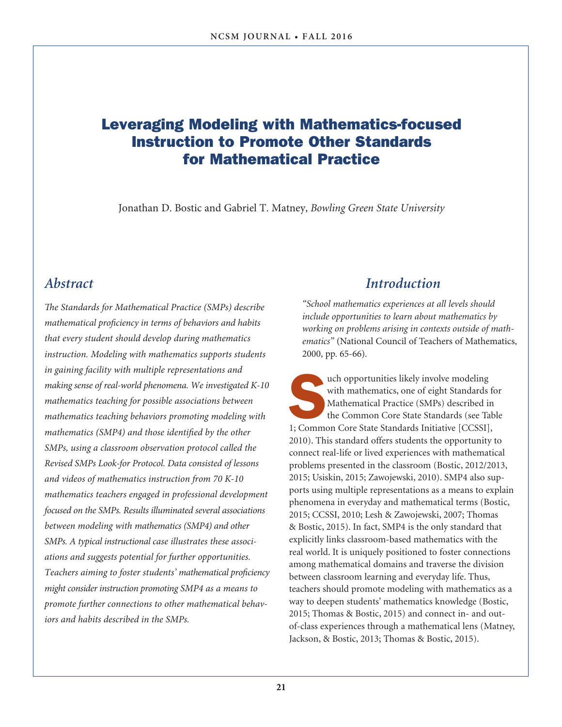## Leveraging Modeling with Mathematics-focused Instruction to Promote Other Standards for Mathematical Practice

Jonathan D. Bostic and Gabriel T. Matney, *Bowling Green State University*

## *Abstract*

*The Standards for Mathematical Practice (SMPs) describe mathematical proficiency in terms of behaviors and habits that every student should develop during mathematics instruction. Modeling with mathematics supports students in gaining facility with multiple representations and making sense of real-world phenomena. We investigated K-10 mathematics teaching for possible associations between mathematics teaching behaviors promoting modeling with mathematics (SMP4) and those identified by the other SMPs, using a classroom observation protocol called the Revised SMPs Look-for Protocol. Data consisted of lessons and videos of mathematics instruction from 70 K-10 mathematics teachers engaged in professional development focused on the SMPs. Results illuminated several associations between modeling with mathematics (SMP4) and other SMPs. A typical instructional case illustrates these associations and suggests potential for further opportunities. Teachers aiming to foster students' mathematical proficiency might consider instruction promoting SMP4 as a means to promote further connections to other mathematical behaviors and habits described in the SMPs.* 

## *Introduction*

*"School mathematics experiences at all levels should include opportunities to learn about mathematics by working on problems arising in contexts outside of mathematics"* (National Council of Teachers of Mathematics, 2000, pp. 65-66).

uch opportunities likely involve modeling<br>
with mathematics, one of eight Standards for<br>
Mathematical Practice (SMPs) described in<br>
the Common Core State Standards Initiative [CCSSI],<br>
1; Common Core State Standards Initia with mathematics, one of eight Standards for Mathematical Practice (SMPs) described in the Common Core State Standards (see Table 2010). This standard offers students the opportunity to connect real-life or lived experiences with mathematical problems presented in the classroom (Bostic, 2012/2013, 2015; Usiskin, 2015; Zawojewski, 2010). SMP4 also supports using multiple representations as a means to explain phenomena in everyday and mathematical terms (Bostic, 2015; CCSSI, 2010; Lesh & Zawojewski, 2007; Thomas & Bostic, 2015). In fact, SMP4 is the only standard that explicitly links classroom-based mathematics with the real world. It is uniquely positioned to foster connections among mathematical domains and traverse the division between classroom learning and everyday life. Thus, teachers should promote modeling with mathematics as a way to deepen students' mathematics knowledge (Bostic, 2015; Thomas & Bostic, 2015) and connect in- and outof-class experiences through a mathematical lens (Matney, Jackson, & Bostic, 2013; Thomas & Bostic, 2015).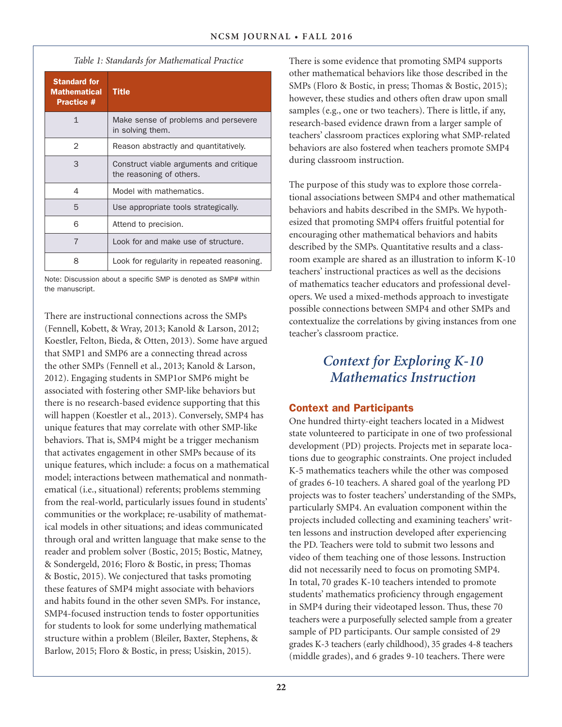*Table 1: Standards for Mathematical Practice* 

| <b>Standard for</b><br><b>Mathematical</b><br><b>Practice #</b> | <b>Title</b>                                                        |
|-----------------------------------------------------------------|---------------------------------------------------------------------|
| $\mathbf{1}$                                                    | Make sense of problems and persevere<br>in solving them.            |
| $\mathcal{P}$                                                   | Reason abstractly and quantitatively.                               |
| 3                                                               | Construct viable arguments and critique<br>the reasoning of others. |
| 4                                                               | Model with mathematics.                                             |
| 5                                                               | Use appropriate tools strategically.                                |
| 6                                                               | Attend to precision.                                                |
| 7                                                               | Look for and make use of structure.                                 |
| 8                                                               | Look for regularity in repeated reasoning.                          |

Note: Discussion about a specific SMP is denoted as SMP# within the manuscript.

There are instructional connections across the SMPs (Fennell, Kobett, & Wray, 2013; Kanold & Larson, 2012; Koestler, Felton, Bieda, & Otten, 2013). Some have argued that SMP1 and SMP6 are a connecting thread across the other SMPs (Fennell et al., 2013; Kanold & Larson, 2012). Engaging students in SMP1or SMP6 might be associated with fostering other SMP-like behaviors but there is no research-based evidence supporting that this will happen (Koestler et al., 2013). Conversely, SMP4 has unique features that may correlate with other SMP-like behaviors. That is, SMP4 might be a trigger mechanism that activates engagement in other SMPs because of its unique features, which include: a focus on a mathematical model; interactions between mathematical and nonmathematical (i.e., situational) referents; problems stemming from the real-world, particularly issues found in students' communities or the workplace; re-usability of mathematical models in other situations; and ideas communicated through oral and written language that make sense to the reader and problem solver (Bostic, 2015; Bostic, Matney, & Sondergeld, 2016; Floro & Bostic, in press; Thomas & Bostic, 2015). We conjectured that tasks promoting these features of SMP4 might associate with behaviors and habits found in the other seven SMPs. For instance, SMP4-focused instruction tends to foster opportunities for students to look for some underlying mathematical structure within a problem (Bleiler, Baxter, Stephens, & Barlow, 2015; Floro & Bostic, in press; Usiskin, 2015).

There is some evidence that promoting SMP4 supports other mathematical behaviors like those described in the SMPs (Floro & Bostic, in press; Thomas & Bostic, 2015); however, these studies and others often draw upon small samples (e.g., one or two teachers). There is little, if any, research-based evidence drawn from a larger sample of teachers' classroom practices exploring what SMP-related behaviors are also fostered when teachers promote SMP4 during classroom instruction.

The purpose of this study was to explore those correlational associations between SMP4 and other mathematical behaviors and habits described in the SMPs. We hypothesized that promoting SMP4 offers fruitful potential for encouraging other mathematical behaviors and habits described by the SMPs. Quantitative results and a classroom example are shared as an illustration to inform K-10 teachers' instructional practices as well as the decisions of mathematics teacher educators and professional developers. We used a mixed-methods approach to investigate possible connections between SMP4 and other SMPs and contextualize the correlations by giving instances from one teacher's classroom practice.

## *Context for Exploring K-10 Mathematics Instruction*

### Context and Participants

One hundred thirty-eight teachers located in a Midwest state volunteered to participate in one of two professional development (PD) projects. Projects met in separate locations due to geographic constraints. One project included K-5 mathematics teachers while the other was composed of grades 6-10 teachers. A shared goal of the yearlong PD projects was to foster teachers' understanding of the SMPs, particularly SMP4. An evaluation component within the projects included collecting and examining teachers' written lessons and instruction developed after experiencing the PD. Teachers were told to submit two lessons and video of them teaching one of those lessons. Instruction did not necessarily need to focus on promoting SMP4. In total, 70 grades K-10 teachers intended to promote students' mathematics proficiency through engagement in SMP4 during their videotaped lesson. Thus, these 70 teachers were a purposefully selected sample from a greater sample of PD participants. Our sample consisted of 29 grades K-3 teachers (early childhood), 35 grades 4-8 teachers (middle grades), and 6 grades 9-10 teachers. There were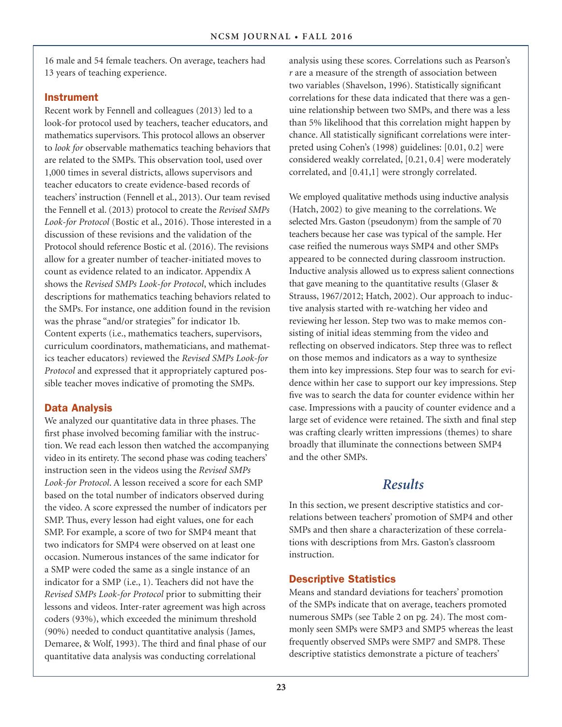16 male and 54 female teachers. On average, teachers had 13 years of teaching experience.

### Instrument

Recent work by Fennell and colleagues (2013) led to a look-for protocol used by teachers, teacher educators, and mathematics supervisors. This protocol allows an observer to *look for* observable mathematics teaching behaviors that are related to the SMPs. This observation tool, used over 1,000 times in several districts, allows supervisors and teacher educators to create evidence-based records of teachers' instruction (Fennell et al., 2013). Our team revised the Fennell et al. (2013) protocol to create the *Revised SMPs Look-for Protocol* (Bostic et al., 2016). Those interested in a discussion of these revisions and the validation of the Protocol should reference Bostic et al. (2016). The revisions allow for a greater number of teacher-initiated moves to count as evidence related to an indicator. Appendix A shows the *Revised SMPs Look-for Protocol*, which includes descriptions for mathematics teaching behaviors related to the SMPs. For instance, one addition found in the revision was the phrase "and/or strategies" for indicator 1b. Content experts (i.e., mathematics teachers, supervisors, curriculum coordinators, mathematicians, and mathematics teacher educators) reviewed the *Revised SMPs Look-for Protocol* and expressed that it appropriately captured possible teacher moves indicative of promoting the SMPs.

## Data Analysis

We analyzed our quantitative data in three phases. The first phase involved becoming familiar with the instruction. We read each lesson then watched the accompanying video in its entirety. The second phase was coding teachers' instruction seen in the videos using the *Revised SMPs Look-for Protocol*. A lesson received a score for each SMP based on the total number of indicators observed during the video. A score expressed the number of indicators per SMP. Thus, every lesson had eight values, one for each SMP. For example, a score of two for SMP4 meant that two indicators for SMP4 were observed on at least one occasion. Numerous instances of the same indicator for a SMP were coded the same as a single instance of an indicator for a SMP (i.e., 1). Teachers did not have the *Revised SMPs Look-for Protocol* prior to submitting their lessons and videos. Inter-rater agreement was high across coders (93%), which exceeded the minimum threshold (90%) needed to conduct quantitative analysis (James, Demaree, & Wolf, 1993). The third and final phase of our quantitative data analysis was conducting correlational

analysis using these scores. Correlations such as Pearson's *r* are a measure of the strength of association between two variables (Shavelson, 1996). Statistically significant correlations for these data indicated that there was a genuine relationship between two SMPs, and there was a less than 5% likelihood that this correlation might happen by chance. All statistically significant correlations were interpreted using Cohen's (1998) guidelines: [0.01, 0.2] were considered weakly correlated, [0.21, 0.4] were moderately correlated, and [0.41,1] were strongly correlated.

We employed qualitative methods using inductive analysis (Hatch, 2002) to give meaning to the correlations. We selected Mrs. Gaston (pseudonym) from the sample of 70 teachers because her case was typical of the sample. Her case reified the numerous ways SMP4 and other SMPs appeared to be connected during classroom instruction. Inductive analysis allowed us to express salient connections that gave meaning to the quantitative results (Glaser & Strauss, 1967/2012; Hatch, 2002). Our approach to inductive analysis started with re-watching her video and reviewing her lesson. Step two was to make memos consisting of initial ideas stemming from the video and reflecting on observed indicators. Step three was to reflect on those memos and indicators as a way to synthesize them into key impressions. Step four was to search for evidence within her case to support our key impressions. Step five was to search the data for counter evidence within her case. Impressions with a paucity of counter evidence and a large set of evidence were retained. The sixth and final step was crafting clearly written impressions (themes) to share broadly that illuminate the connections between SMP4 and the other SMPs.

## *Results*

In this section, we present descriptive statistics and correlations between teachers' promotion of SMP4 and other SMPs and then share a characterization of these correlations with descriptions from Mrs. Gaston's classroom instruction.

## Descriptive Statistics

Means and standard deviations for teachers' promotion of the SMPs indicate that on average, teachers promoted numerous SMPs (see Table 2 on pg. 24). The most commonly seen SMPs were SMP3 and SMP5 whereas the least frequently observed SMPs were SMP7 and SMP8. These descriptive statistics demonstrate a picture of teachers'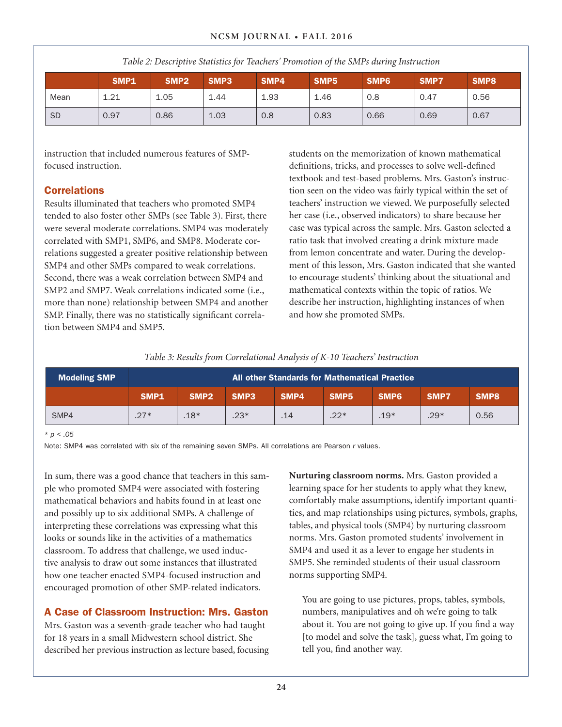|           | <b>SMP1</b> | SMP <sub>2</sub> | SMP3 | SMP4 | SMP <sub>5</sub> | SMP <sub>6</sub> | SMP7 | SMP8 |
|-----------|-------------|------------------|------|------|------------------|------------------|------|------|
| Mean      | 1.21        | 1.05             | 1.44 | 1.93 | 1.46             | 0.8              | 0.47 | 0.56 |
| <b>SD</b> | 0.97        | 0.86             | 1.03 | 0.8  | 0.83             | 0.66             | 0.69 | 0.67 |

*Table 2: Descriptive Statistics for Teachers' Promotion of the SMPs during Instruction*

instruction that included numerous features of SMPfocused instruction.

### **Correlations**

Results illuminated that teachers who promoted SMP4 tended to also foster other SMPs (see Table 3). First, there were several moderate correlations. SMP4 was moderately correlated with SMP1, SMP6, and SMP8. Moderate correlations suggested a greater positive relationship between SMP4 and other SMPs compared to weak correlations. Second, there was a weak correlation between SMP4 and SMP2 and SMP7. Weak correlations indicated some (i.e., more than none) relationship between SMP4 and another SMP. Finally, there was no statistically significant correlation between SMP4 and SMP5.

students on the memorization of known mathematical definitions, tricks, and processes to solve well-defined textbook and test-based problems. Mrs. Gaston's instruction seen on the video was fairly typical within the set of teachers' instruction we viewed. We purposefully selected her case (i.e., observed indicators) to share because her case was typical across the sample. Mrs. Gaston selected a ratio task that involved creating a drink mixture made from lemon concentrate and water. During the development of this lesson, Mrs. Gaston indicated that she wanted to encourage students' thinking about the situational and mathematical contexts within the topic of ratios. We describe her instruction, highlighting instances of when and how she promoted SMPs.

*Table 3: Results from Correlational Analysis of K-10 Teachers' Instruction*

| <b>Modeling SMP</b> | All other Standards for Mathematical Practice |                  |                  |      |                  |                  |        |      |
|---------------------|-----------------------------------------------|------------------|------------------|------|------------------|------------------|--------|------|
|                     | SMP <sub>1</sub>                              | SMP <sub>2</sub> | SMP <sub>3</sub> | SMP4 | SMP <sub>5</sub> | SMP <sub>6</sub> | SMP7   | SMP8 |
| SMP4                | $.27*$                                        | $.18*$           | $.23*$           | .14  | $.22*$           | $.19*$           | $.29*$ | 0.56 |

*\* p < .05* 

Note: SMP4 was correlated with six of the remaining seven SMPs. All correlations are Pearson *r* values.

In sum, there was a good chance that teachers in this sample who promoted SMP4 were associated with fostering mathematical behaviors and habits found in at least one and possibly up to six additional SMPs. A challenge of interpreting these correlations was expressing what this looks or sounds like in the activities of a mathematics classroom. To address that challenge, we used inductive analysis to draw out some instances that illustrated how one teacher enacted SMP4-focused instruction and encouraged promotion of other SMP-related indicators.

## A Case of Classroom Instruction: Mrs. Gaston

Mrs. Gaston was a seventh-grade teacher who had taught for 18 years in a small Midwestern school district. She described her previous instruction as lecture based, focusing **Nurturing classroom norms.** Mrs. Gaston provided a learning space for her students to apply what they knew, comfortably make assumptions, identify important quantities, and map relationships using pictures, symbols, graphs, tables, and physical tools (SMP4) by nurturing classroom norms. Mrs. Gaston promoted students' involvement in SMP4 and used it as a lever to engage her students in SMP5. She reminded students of their usual classroom norms supporting SMP4.

You are going to use pictures, props, tables, symbols, numbers, manipulatives and oh we're going to talk about it. You are not going to give up. If you find a way [to model and solve the task], guess what, I'm going to tell you, find another way.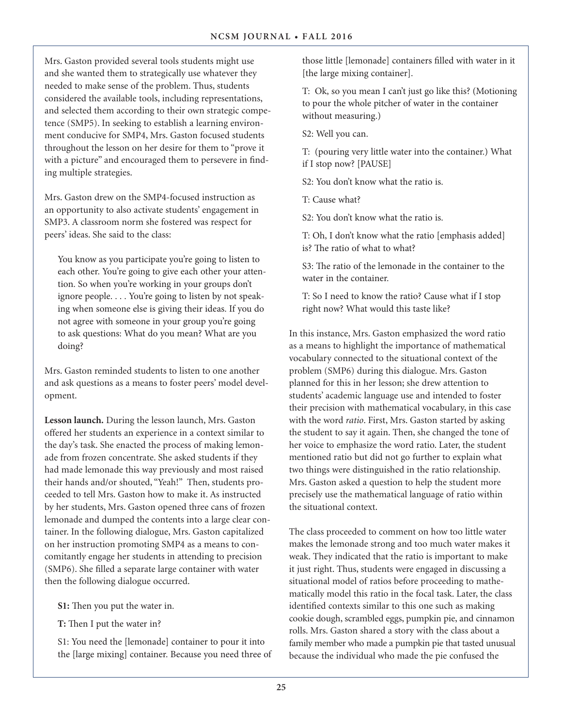Mrs. Gaston provided several tools students might use and she wanted them to strategically use whatever they needed to make sense of the problem. Thus, students considered the available tools, including representations, and selected them according to their own strategic competence (SMP5). In seeking to establish a learning environment conducive for SMP4, Mrs. Gaston focused students throughout the lesson on her desire for them to "prove it with a picture" and encouraged them to persevere in finding multiple strategies.

Mrs. Gaston drew on the SMP4-focused instruction as an opportunity to also activate students' engagement in SMP3. A classroom norm she fostered was respect for peers' ideas. She said to the class:

You know as you participate you're going to listen to each other. You're going to give each other your attention. So when you're working in your groups don't ignore people. . . . You're going to listen by not speaking when someone else is giving their ideas. If you do not agree with someone in your group you're going to ask questions: What do you mean? What are you doing?

Mrs. Gaston reminded students to listen to one another and ask questions as a means to foster peers' model development.

**Lesson launch.** During the lesson launch, Mrs. Gaston offered her students an experience in a context similar to the day's task. She enacted the process of making lemonade from frozen concentrate. She asked students if they had made lemonade this way previously and most raised their hands and/or shouted, "Yeah!" Then, students proceeded to tell Mrs. Gaston how to make it. As instructed by her students, Mrs. Gaston opened three cans of frozen lemonade and dumped the contents into a large clear container. In the following dialogue, Mrs. Gaston capitalized on her instruction promoting SMP4 as a means to concomitantly engage her students in attending to precision (SMP6). She filled a separate large container with water then the following dialogue occurred.

**S1:** Then you put the water in.

**T:** Then I put the water in?

S1: You need the [lemonade] container to pour it into the [large mixing] container. Because you need three of those little [lemonade] containers filled with water in it [the large mixing container].

T: Ok, so you mean I can't just go like this? (Motioning to pour the whole pitcher of water in the container without measuring.)

S2: Well you can.

T: (pouring very little water into the container.) What if I stop now? [PAUSE]

S2: You don't know what the ratio is.

T: Cause what?

S2: You don't know what the ratio is.

T: Oh, I don't know what the ratio [emphasis added] is? The ratio of what to what?

S3: The ratio of the lemonade in the container to the water in the container.

T: So I need to know the ratio? Cause what if I stop right now? What would this taste like?

In this instance, Mrs. Gaston emphasized the word ratio as a means to highlight the importance of mathematical vocabulary connected to the situational context of the problem (SMP6) during this dialogue. Mrs. Gaston planned for this in her lesson; she drew attention to students' academic language use and intended to foster their precision with mathematical vocabulary, in this case with the word *ratio*. First, Mrs. Gaston started by asking the student to say it again. Then, she changed the tone of her voice to emphasize the word ratio. Later, the student mentioned ratio but did not go further to explain what two things were distinguished in the ratio relationship. Mrs. Gaston asked a question to help the student more precisely use the mathematical language of ratio within the situational context.

The class proceeded to comment on how too little water makes the lemonade strong and too much water makes it weak. They indicated that the ratio is important to make it just right. Thus, students were engaged in discussing a situational model of ratios before proceeding to mathematically model this ratio in the focal task. Later, the class identified contexts similar to this one such as making cookie dough, scrambled eggs, pumpkin pie, and cinnamon rolls. Mrs. Gaston shared a story with the class about a family member who made a pumpkin pie that tasted unusual because the individual who made the pie confused the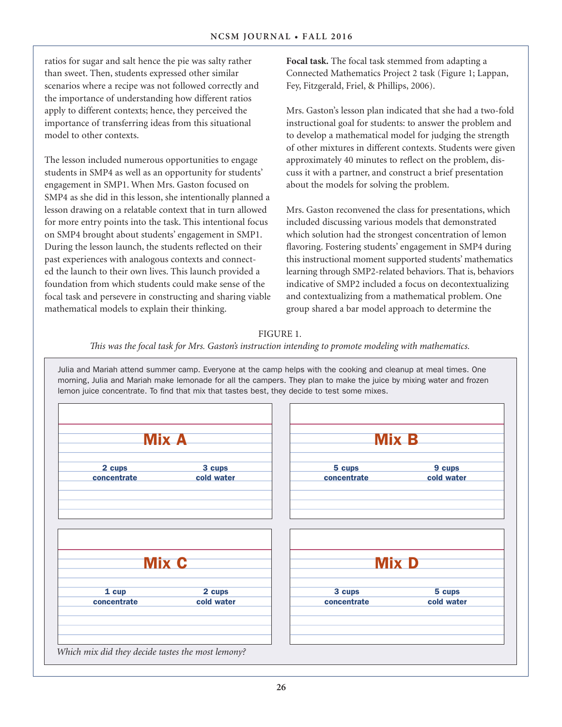ratios for sugar and salt hence the pie was salty rather than sweet. Then, students expressed other similar scenarios where a recipe was not followed correctly and the importance of understanding how different ratios apply to different contexts; hence, they perceived the importance of transferring ideas from this situational model to other contexts.

The lesson included numerous opportunities to engage students in SMP4 as well as an opportunity for students' engagement in SMP1. When Mrs. Gaston focused on SMP4 as she did in this lesson, she intentionally planned a lesson drawing on a relatable context that in turn allowed for more entry points into the task. This intentional focus on SMP4 brought about students' engagement in SMP1. During the lesson launch, the students reflected on their past experiences with analogous contexts and connected the launch to their own lives. This launch provided a foundation from which students could make sense of the focal task and persevere in constructing and sharing viable mathematical models to explain their thinking.

**Focal task.** The focal task stemmed from adapting a Connected Mathematics Project 2 task (Figure 1; Lappan, Fey, Fitzgerald, Friel, & Phillips, 2006).

Mrs. Gaston's lesson plan indicated that she had a two-fold instructional goal for students: to answer the problem and to develop a mathematical model for judging the strength of other mixtures in different contexts. Students were given approximately 40 minutes to reflect on the problem, discuss it with a partner, and construct a brief presentation about the models for solving the problem.

Mrs. Gaston reconvened the class for presentations, which included discussing various models that demonstrated which solution had the strongest concentration of lemon flavoring. Fostering students' engagement in SMP4 during this instructional moment supported students' mathematics learning through SMP2-related behaviors. That is, behaviors indicative of SMP2 included a focus on decontextualizing and contextualizing from a mathematical problem. One group shared a bar model approach to determine the

#### FIGURE 1.

*This was the focal task for Mrs. Gaston's instruction intending to promote modeling with mathematics.* 

Julia and Mariah attend summer camp. Everyone at the camp helps with the cooking and cleanup at meal times. One morning, Julia and Mariah make lemonade for all the campers. They plan to make the juice by mixing water and frozen lemon juice concentrate. To find that mix that tastes best, they decide to test some mixes.

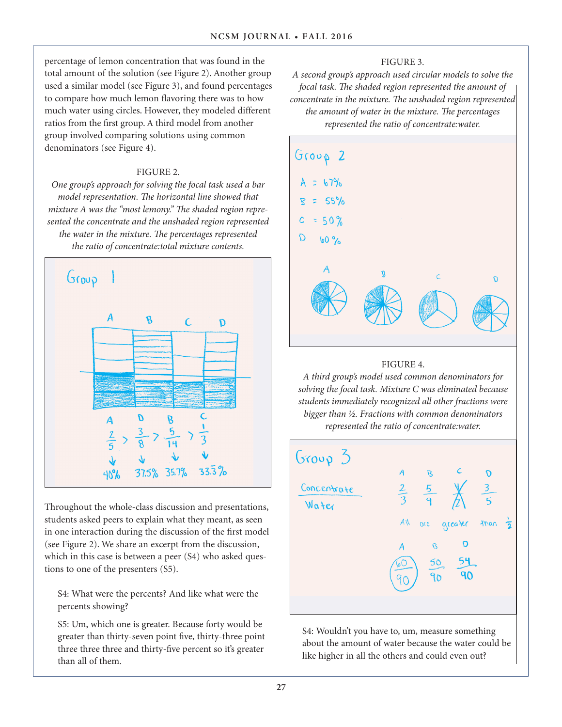percentage of lemon concentration that was found in the total amount of the solution (see Figure 2). Another group used a similar model (see Figure 3), and found percentages to compare how much lemon flavoring there was to how much water using circles. However, they modeled different ratios from the first group. A third model from another group involved comparing solutions using common denominators (see Figure 4).

### FIGURE 2.

*One group's approach for solving the focal task used a bar model representation. The horizontal line showed that mixture A was the "most lemony." The shaded region represented the concentrate and the unshaded region represented the water in the mixture. The percentages represented the ratio of concentrate:total mixture contents.* 



Throughout the whole-class discussion and presentations, students asked peers to explain what they meant, as seen in one interaction during the discussion of the first model (see Figure 2). We share an excerpt from the discussion, which in this case is between a peer (S4) who asked questions to one of the presenters (S5).

S4: What were the percents? And like what were the percents showing?

S5: Um, which one is greater. Because forty would be greater than thirty-seven point five, thirty-three point three three three and thirty-five percent so it's greater than all of them.

### FIGURE 3.

*A second group's approach used circular models to solve the focal task. The shaded region represented the amount of concentrate in the mixture. The unshaded region represented the amount of water in the mixture. The percentages represented the ratio of concentrate:water.* 



### FIGURE 4.

*A third group's model used common denominators for solving the focal task. Mixture C was eliminated because students immediately recognized all other fractions were bigger than ½. Fractions with common denominators represented the ratio of concentrate:water.* 



S4: Wouldn't you have to, um, measure something about the amount of water because the water could be like higher in all the others and could even out?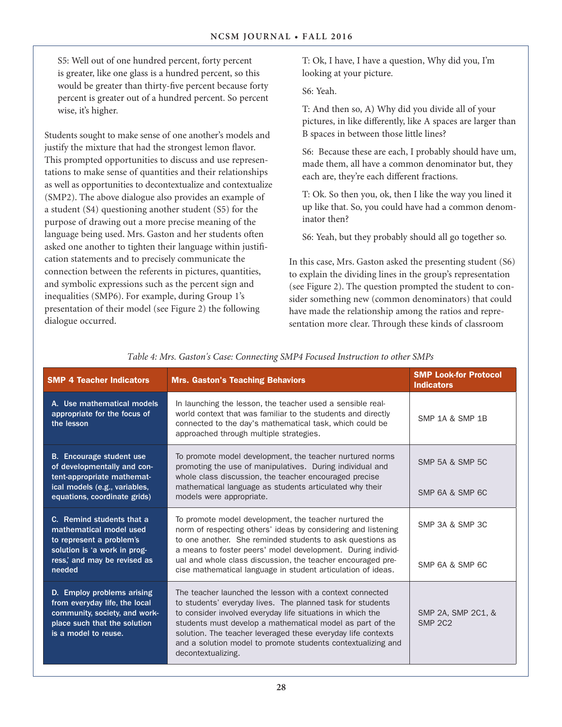S5: Well out of one hundred percent, forty percent is greater, like one glass is a hundred percent, so this would be greater than thirty-five percent because forty percent is greater out of a hundred percent. So percent wise, it's higher.

Students sought to make sense of one another's models and justify the mixture that had the strongest lemon flavor. This prompted opportunities to discuss and use representations to make sense of quantities and their relationships as well as opportunities to decontextualize and contextualize (SMP2). The above dialogue also provides an example of a student (S4) questioning another student (S5) for the purpose of drawing out a more precise meaning of the language being used. Mrs. Gaston and her students often asked one another to tighten their language within justification statements and to precisely communicate the connection between the referents in pictures, quantities, and symbolic expressions such as the percent sign and inequalities (SMP6). For example, during Group 1's presentation of their model (see Figure 2) the following dialogue occurred.

T: Ok, I have, I have a question, Why did you, I'm looking at your picture.

S6: Yeah.

T: And then so, A) Why did you divide all of your pictures, in like differently, like A spaces are larger than B spaces in between those little lines?

S6: Because these are each, I probably should have um, made them, all have a common denominator but, they each are, they're each different fractions.

T: Ok. So then you, ok, then I like the way you lined it up like that. So, you could have had a common denominator then?

S6: Yeah, but they probably should all go together so.

In this case, Mrs. Gaston asked the presenting student (S6) to explain the dividing lines in the group's representation (see Figure 2). The question prompted the student to consider something new (common denominators) that could have made the relationship among the ratios and representation more clear. Through these kinds of classroom

| <b>SMP 4 Teacher Indicators</b>                                                                                                                                                                                                                                                                                                                                                                                                                                                                                                                                 | <b>Mrs. Gaston's Teaching Behaviors</b>                                                                                                                                                                                                             |                                      |  |  |
|-----------------------------------------------------------------------------------------------------------------------------------------------------------------------------------------------------------------------------------------------------------------------------------------------------------------------------------------------------------------------------------------------------------------------------------------------------------------------------------------------------------------------------------------------------------------|-----------------------------------------------------------------------------------------------------------------------------------------------------------------------------------------------------------------------------------------------------|--------------------------------------|--|--|
| A. Use mathematical models<br>appropriate for the focus of<br>the lesson                                                                                                                                                                                                                                                                                                                                                                                                                                                                                        | In launching the lesson, the teacher used a sensible real-<br>world context that was familiar to the students and directly<br>connected to the day's mathematical task, which could be<br>approached through multiple strategies.                   | <b>SMP 1A &amp; SMP 1B</b>           |  |  |
| <b>B.</b> Encourage student use<br>of developmentally and con-<br>tent-appropriate mathemat-<br>ical models (e.g., variables,                                                                                                                                                                                                                                                                                                                                                                                                                                   | To promote model development, the teacher nurtured norms<br>promoting the use of manipulatives. During individual and<br>whole class discussion, the teacher encouraged precise<br>mathematical language as students articulated why their          |                                      |  |  |
| equations, coordinate grids)                                                                                                                                                                                                                                                                                                                                                                                                                                                                                                                                    | SMP 6A & SMP 6C                                                                                                                                                                                                                                     |                                      |  |  |
| C. Remind students that a<br>mathematical model used<br>to represent a problem's<br>solution is 'a work in prog-                                                                                                                                                                                                                                                                                                                                                                                                                                                | To promote model development, the teacher nurtured the<br>norm of respecting others' ideas by considering and listening<br>to one another. She reminded students to ask questions as<br>a means to foster peers' model development. During individ- | SMP 3A & SMP 3C                      |  |  |
| ress,' and may be revised as<br>needed                                                                                                                                                                                                                                                                                                                                                                                                                                                                                                                          | ual and whole class discussion, the teacher encouraged pre-<br>cise mathematical language in student articulation of ideas.                                                                                                                         | SMP 6A & SMP 6C                      |  |  |
| D. Employ problems arising<br>The teacher launched the lesson with a context connected<br>from everyday life, the local<br>to students' everyday lives. The planned task for students<br>community, society, and work-<br>to consider involved everyday life situations in which the<br>place such that the solution<br>students must develop a mathematical model as part of the<br>is a model to reuse.<br>solution. The teacher leveraged these everyday life contexts<br>and a solution model to promote students contextualizing and<br>decontextualizing. |                                                                                                                                                                                                                                                     | SMP 2A, SMP 2C1, &<br><b>SMP 2C2</b> |  |  |

*Table 4: Mrs. Gaston's Case: Connecting SMP4 Focused Instruction to other SMPs*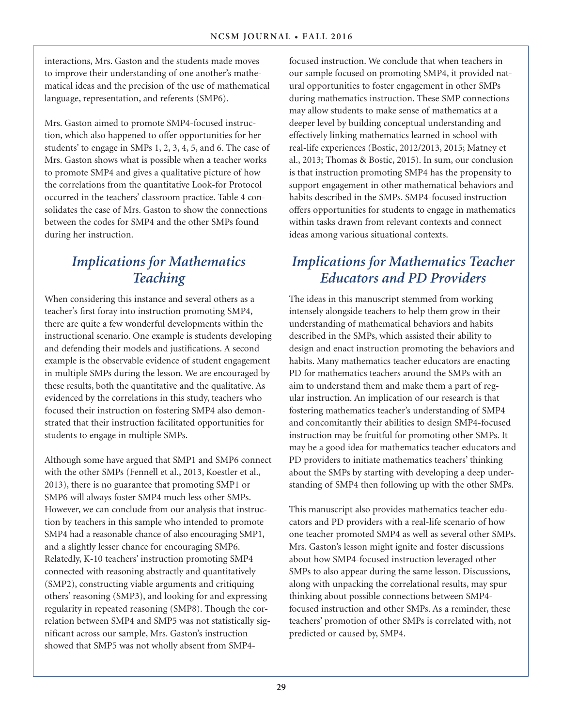interactions, Mrs. Gaston and the students made moves to improve their understanding of one another's mathematical ideas and the precision of the use of mathematical language, representation, and referents (SMP6).

Mrs. Gaston aimed to promote SMP4-focused instruction, which also happened to offer opportunities for her students' to engage in SMPs 1, 2, 3, 4, 5, and 6. The case of Mrs. Gaston shows what is possible when a teacher works to promote SMP4 and gives a qualitative picture of how the correlations from the quantitative Look-for Protocol occurred in the teachers' classroom practice. Table 4 consolidates the case of Mrs. Gaston to show the connections between the codes for SMP4 and the other SMPs found during her instruction.

# *Implications for Mathematics Teaching*

When considering this instance and several others as a teacher's first foray into instruction promoting SMP4, there are quite a few wonderful developments within the instructional scenario. One example is students developing and defending their models and justifications. A second example is the observable evidence of student engagement in multiple SMPs during the lesson. We are encouraged by these results, both the quantitative and the qualitative. As evidenced by the correlations in this study, teachers who focused their instruction on fostering SMP4 also demonstrated that their instruction facilitated opportunities for students to engage in multiple SMPs.

Although some have argued that SMP1 and SMP6 connect with the other SMPs (Fennell et al., 2013, Koestler et al., 2013), there is no guarantee that promoting SMP1 or SMP6 will always foster SMP4 much less other SMPs. However, we can conclude from our analysis that instruction by teachers in this sample who intended to promote SMP4 had a reasonable chance of also encouraging SMP1, and a slightly lesser chance for encouraging SMP6. Relatedly, K-10 teachers' instruction promoting SMP4 connected with reasoning abstractly and quantitatively (SMP2), constructing viable arguments and critiquing others' reasoning (SMP3), and looking for and expressing regularity in repeated reasoning (SMP8). Though the correlation between SMP4 and SMP5 was not statistically significant across our sample, Mrs. Gaston's instruction showed that SMP5 was not wholly absent from SMP4focused instruction. We conclude that when teachers in our sample focused on promoting SMP4, it provided natural opportunities to foster engagement in other SMPs during mathematics instruction. These SMP connections may allow students to make sense of mathematics at a deeper level by building conceptual understanding and effectively linking mathematics learned in school with real-life experiences (Bostic, 2012/2013, 2015; Matney et al., 2013; Thomas & Bostic, 2015). In sum, our conclusion is that instruction promoting SMP4 has the propensity to support engagement in other mathematical behaviors and habits described in the SMPs. SMP4-focused instruction offers opportunities for students to engage in mathematics within tasks drawn from relevant contexts and connect ideas among various situational contexts.

## *Implications for Mathematics Teacher Educators and PD Providers*

The ideas in this manuscript stemmed from working intensely alongside teachers to help them grow in their understanding of mathematical behaviors and habits described in the SMPs, which assisted their ability to design and enact instruction promoting the behaviors and habits. Many mathematics teacher educators are enacting PD for mathematics teachers around the SMPs with an aim to understand them and make them a part of regular instruction. An implication of our research is that fostering mathematics teacher's understanding of SMP4 and concomitantly their abilities to design SMP4-focused instruction may be fruitful for promoting other SMPs. It may be a good idea for mathematics teacher educators and PD providers to initiate mathematics teachers' thinking about the SMPs by starting with developing a deep understanding of SMP4 then following up with the other SMPs.

This manuscript also provides mathematics teacher educators and PD providers with a real-life scenario of how one teacher promoted SMP4 as well as several other SMPs. Mrs. Gaston's lesson might ignite and foster discussions about how SMP4-focused instruction leveraged other SMPs to also appear during the same lesson. Discussions, along with unpacking the correlational results, may spur thinking about possible connections between SMP4 focused instruction and other SMPs. As a reminder, these teachers' promotion of other SMPs is correlated with, not predicted or caused by, SMP4.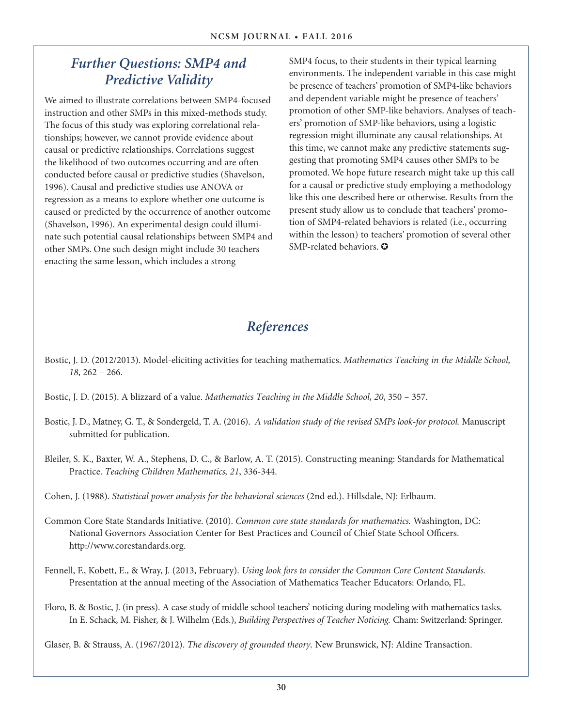## *Further Questions: SMP4 and Predictive Validity*

We aimed to illustrate correlations between SMP4-focused instruction and other SMPs in this mixed-methods study. The focus of this study was exploring correlational relationships; however, we cannot provide evidence about causal or predictive relationships. Correlations suggest the likelihood of two outcomes occurring and are often conducted before causal or predictive studies (Shavelson, 1996). Causal and predictive studies use ANOVA or regression as a means to explore whether one outcome is caused or predicted by the occurrence of another outcome (Shavelson, 1996). An experimental design could illuminate such potential causal relationships between SMP4 and other SMPs. One such design might include 30 teachers enacting the same lesson, which includes a strong

SMP4 focus, to their students in their typical learning environments. The independent variable in this case might be presence of teachers' promotion of SMP4-like behaviors and dependent variable might be presence of teachers' promotion of other SMP-like behaviors. Analyses of teachers' promotion of SMP-like behaviors, using a logistic regression might illuminate any causal relationships. At this time, we cannot make any predictive statements suggesting that promoting SMP4 causes other SMPs to be promoted. We hope future research might take up this call for a causal or predictive study employing a methodology like this one described here or otherwise. Results from the present study allow us to conclude that teachers' promotion of SMP4-related behaviors is related (i.e., occurring within the lesson) to teachers' promotion of several other SMP-related behaviors.  $\bullet$ 

# *References*

- Bostic, J. D. (2012/2013). Model-eliciting activities for teaching mathematics. *Mathematics Teaching in the Middle School, 18*, 262 – 266.
- Bostic, J. D. (2015). A blizzard of a value. *Mathematics Teaching in the Middle School, 20*, 350 357.
- Bostic, J. D., Matney, G. T., & Sondergeld, T. A. (2016). *A validation study of the revised SMPs look-for protocol.* Manuscript submitted for publication.
- Bleiler, S. K., Baxter, W. A., Stephens, D. C., & Barlow, A. T. (2015). Constructing meaning: Standards for Mathematical Practice. *Teaching Children Mathematics, 21*, 336-344.

Cohen, J. (1988). *Statistical power analysis for the behavioral sciences* (2nd ed.). Hillsdale, NJ: Erlbaum.

- Common Core State Standards Initiative. (2010). *Common core state standards for mathematics.* Washington, DC: National Governors Association Center for Best Practices and Council of Chief State School Officers. http://www.corestandards.org.
- Fennell, F., Kobett, E., & Wray, J. (2013, February). *Using look fors to consider the Common Core Content Standards.*  Presentation at the annual meeting of the Association of Mathematics Teacher Educators: Orlando, FL.
- Floro, B. & Bostic, J. (in press). A case study of middle school teachers' noticing during modeling with mathematics tasks. In E. Schack, M. Fisher, & J. Wilhelm (Eds.), *Building Perspectives of Teacher Noticing.* Cham: Switzerland: Springer.

Glaser, B. & Strauss, A. (1967/2012). *The discovery of grounded theory.* New Brunswick, NJ: Aldine Transaction.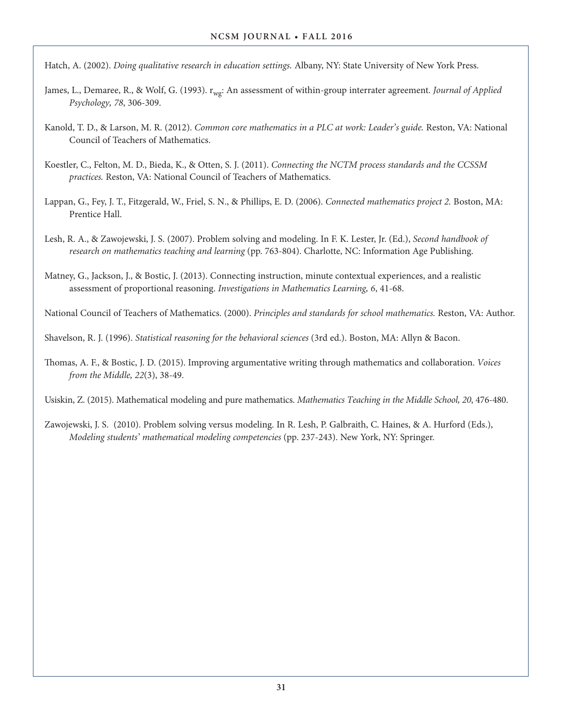Hatch, A. (2002). *Doing qualitative research in education settings.* Albany, NY: State University of New York Press.

- James, L., Demaree, R., & Wolf, G. (1993). r<sub>wg</sub>: An assessment of within-group interrater agreement. *Journal of Applied Psychology, 78*, 306-309.
- Kanold, T. D., & Larson, M. R. (2012). *Common core mathematics in a PLC at work: Leader's guide.* Reston, VA: National Council of Teachers of Mathematics.
- Koestler, C., Felton, M. D., Bieda, K., & Otten, S. J. (2011). *Connecting the NCTM process standards and the CCSSM practices.* Reston, VA: National Council of Teachers of Mathematics.
- Lappan, G., Fey, J. T., Fitzgerald, W., Friel, S. N., & Phillips, E. D. (2006). *Connected mathematics project 2.* Boston, MA: Prentice Hall.
- Lesh, R. A., & Zawojewski, J. S. (2007). Problem solving and modeling. In F. K. Lester, Jr. (Ed.), *Second handbook of research on mathematics teaching and learning* (pp. 763-804). Charlotte, NC: Information Age Publishing.
- Matney, G., Jackson, J., & Bostic, J. (2013). Connecting instruction, minute contextual experiences, and a realistic assessment of proportional reasoning. *Investigations in Mathematics Learning, 6*, 41-68.

National Council of Teachers of Mathematics. (2000). *Principles and standards for school mathematics.* Reston, VA: Author.

Shavelson, R. J. (1996). *Statistical reasoning for the behavioral sciences* (3rd ed.). Boston, MA: Allyn & Bacon.

Thomas, A. F., & Bostic, J. D. (2015). Improving argumentative writing through mathematics and collaboration. *Voices from the Middle, 22*(3), 38-49.

Usiskin, Z. (2015). Mathematical modeling and pure mathematics. *Mathematics Teaching in the Middle School, 20*, 476-480.

Zawojewski, J. S. (2010). Problem solving versus modeling. In R. Lesh, P. Galbraith, C. Haines, & A. Hurford (Eds.), *Modeling students' mathematical modeling competencies* (pp. 237-243). New York, NY: Springer.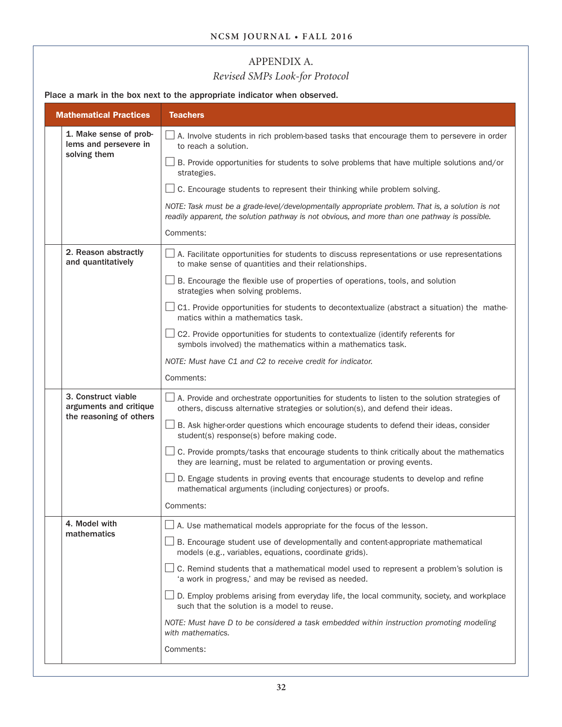## APPENDIX A.

## *Revised SMPs Look-for Protocol*

Place a mark in the box next to the appropriate indicator when observed.

|  | <b>Mathematical Practices</b>                   | <b>Teachers</b>                                                                                                                                                                                   |  |  |  |  |
|--|-------------------------------------------------|---------------------------------------------------------------------------------------------------------------------------------------------------------------------------------------------------|--|--|--|--|
|  | 1. Make sense of prob-<br>lems and persevere in | $\perp$ A. Involve students in rich problem-based tasks that encourage them to persevere in order<br>to reach a solution.                                                                         |  |  |  |  |
|  | solving them                                    | $\perp$ B. Provide opportunities for students to solve problems that have multiple solutions and/or<br>strategies.                                                                                |  |  |  |  |
|  |                                                 | C. Encourage students to represent their thinking while problem solving.                                                                                                                          |  |  |  |  |
|  |                                                 | NOTE: Task must be a grade-level/developmentally appropriate problem. That is, a solution is not<br>readily apparent, the solution pathway is not obvious, and more than one pathway is possible. |  |  |  |  |
|  |                                                 | Comments:                                                                                                                                                                                         |  |  |  |  |
|  | 2. Reason abstractly<br>and quantitatively      | $\Box$ A. Facilitate opportunities for students to discuss representations or use representations<br>to make sense of quantities and their relationships.                                         |  |  |  |  |
|  |                                                 | $\perp$ B. Encourage the flexible use of properties of operations, tools, and solution<br>strategies when solving problems.                                                                       |  |  |  |  |
|  |                                                 | Sect. Provide opportunities for students to decontextualize (abstract a situation) the mathe-<br>matics within a mathematics task.                                                                |  |  |  |  |
|  |                                                 | $\Box$ C2. Provide opportunities for students to contextualize (identify referents for<br>symbols involved) the mathematics within a mathematics task.                                            |  |  |  |  |
|  |                                                 | NOTE: Must have C1 and C2 to receive credit for indicator.                                                                                                                                        |  |  |  |  |
|  |                                                 | Comments:                                                                                                                                                                                         |  |  |  |  |
|  | 3. Construct viable<br>arguments and critique   | $\perp$ A. Provide and orchestrate opportunities for students to listen to the solution strategies of<br>others, discuss alternative strategies or solution(s), and defend their ideas.           |  |  |  |  |
|  | the reasoning of others                         | B. Ask higher-order questions which encourage students to defend their ideas, consider<br>student(s) response(s) before making code.                                                              |  |  |  |  |
|  |                                                 | $\perp$ C. Provide prompts/tasks that encourage students to think critically about the mathematics<br>they are learning, must be related to argumentation or proving events.                      |  |  |  |  |
|  |                                                 | D. Engage students in proving events that encourage students to develop and refine<br>mathematical arguments (including conjectures) or proofs.                                                   |  |  |  |  |
|  |                                                 | Comments:                                                                                                                                                                                         |  |  |  |  |
|  | 4. Model with                                   | $\Box$ A. Use mathematical models appropriate for the focus of the lesson.                                                                                                                        |  |  |  |  |
|  | mathematics                                     | $\Box$ B. Encourage student use of developmentally and content-appropriate mathematical<br>models (e.g., variables, equations, coordinate grids).                                                 |  |  |  |  |
|  |                                                 | C. Remind students that a mathematical model used to represent a problem's solution is<br>'a work in progress,' and may be revised as needed.                                                     |  |  |  |  |
|  |                                                 | D. Employ problems arising from everyday life, the local community, society, and workplace<br>such that the solution is a model to reuse.                                                         |  |  |  |  |
|  |                                                 | NOTE: Must have D to be considered a task embedded within instruction promoting modeling<br>with mathematics.                                                                                     |  |  |  |  |
|  |                                                 | Comments:                                                                                                                                                                                         |  |  |  |  |